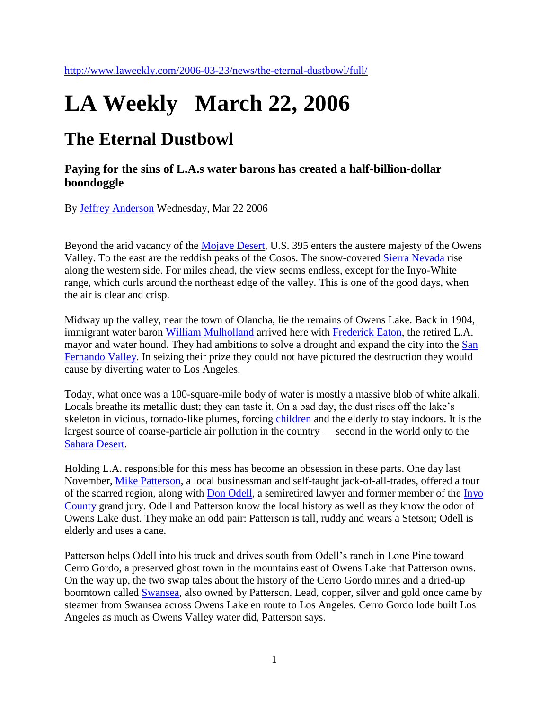## **LA Weekly March 22, 2006**

## **The Eternal Dustbowl**

**Paying for the sins of L.A.s water barons has created a half-billion-dollar boondoggle**

By [Jeffrey Anderson](http://www.laweekly.com/authors/jeffrey-anderson) Wednesday, Mar 22 2006

Beyond the arid vacancy of the [Mojave Desert,](http://www.laweekly.com/related/to/Mojave+Desert/) U.S. 395 enters the austere majesty of the Owens Valley. To the east are the reddish peaks of the Cosos. The snow-covered [Sierra Nevada](http://www.laweekly.com/related/to/Sierra+Nevada/) rise along the western side. For miles ahead, the view seems endless, except for the Inyo-White range, which curls around the northeast edge of the valley. This is one of the good days, when the air is clear and crisp.

Midway up the valley, near the town of Olancha, lie the remains of Owens Lake. Back in 1904, immigrant water baron [William Mulholland](http://www.laweekly.com/related/to/William+Mulholland/) arrived here with [Frederick Eaton,](http://www.laweekly.com/related/to/Frederick+Eaton/) the retired L.A. mayor and water hound. They had ambitions to solve a drought and expand the city into the San [Fernando Valley.](http://www.laweekly.com/related/to/San+Fernando+Valley/) In seizing their prize they could not have pictured the destruction they would cause by diverting water to Los Angeles.

Today, what once was a 100-square-mile body of water is mostly a massive blob of white alkali. Locals breathe its metallic dust; they can taste it. On a bad day, the dust rises off the lake's skeleton in vicious, tornado-like plumes, forcing [children](http://www.laweekly.com/2006-03-23/news/the-eternal-dustbowl/full/) and the elderly to stay indoors. It is the largest source of coarse-particle air pollution in the country — second in the world only to the [Sahara Desert.](http://www.laweekly.com/related/to/Sahara+Desert/)

Holding L.A. responsible for this mess has become an obsession in these parts. One day last November, [Mike Patterson,](http://www.laweekly.com/related/to/Mike+Patterson/) a local businessman and self-taught jack-of-all-trades, offered a tour of the scarred region, along with [Don Odell,](http://www.laweekly.com/related/to/Don+Odell/) a semiretired lawyer and former member of the [Inyo](http://www.laweekly.com/related/to/Inyo+County/)  [County](http://www.laweekly.com/related/to/Inyo+County/) grand jury. Odell and Patterson know the local history as well as they know the odor of Owens Lake dust. They make an odd pair: Patterson is tall, ruddy and wears a Stetson; Odell is elderly and uses a cane.

Patterson helps Odell into his truck and drives south from Odell's ranch in Lone Pine toward Cerro Gordo, a preserved ghost town in the mountains east of Owens Lake that Patterson owns. On the way up, the two swap tales about the history of the Cerro Gordo mines and a dried-up boomtown called [Swansea,](http://www.laweekly.com/related/to/Swansea/) also owned by Patterson. Lead, copper, silver and gold once came by steamer from Swansea across Owens Lake en route to Los Angeles. Cerro Gordo lode built Los Angeles as much as Owens Valley water did, Patterson says.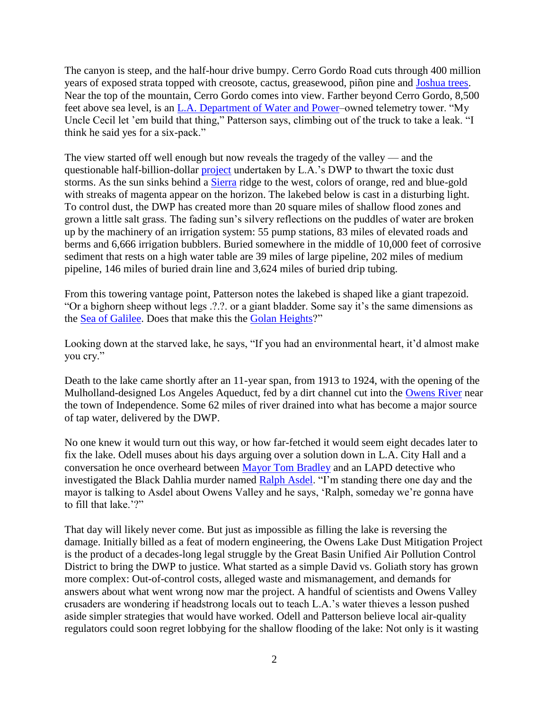The canyon is steep, and the half-hour drive bumpy. Cerro Gordo Road cuts through 400 million years of exposed strata topped with creosote, cactus, greasewood, piñon pine and [Joshua trees.](http://www.laweekly.com/2006-03-23/news/the-eternal-dustbowl/full/) Near the top of the mountain, Cerro Gordo comes into view. Farther beyond Cerro Gordo, 8,500 feet above sea level, is an [L.A. Department of Water and Power–](http://www.laweekly.com/related/to/L.A.+Department+of+Water+and+Power/)owned telemetry tower. "My Uncle Cecil let 'em build that thing," Patterson says, climbing out of the truck to take a leak. "I think he said yes for a six-pack."

The view started off well enough but now reveals the tragedy of the valley — and the questionable half-billion-dollar [project](http://www.laweekly.com/2006-03-23/news/the-eternal-dustbowl/full/) undertaken by L.A.'s DWP to thwart the toxic dust storms. As the sun sinks behind a [Sierra](http://www.laweekly.com/related/to/GMC+Sierra/) ridge to the west, colors of orange, red and blue-gold with streaks of magenta appear on the horizon. The lakebed below is cast in a disturbing light. To control dust, the DWP has created more than 20 square miles of shallow flood zones and grown a little salt grass. The fading sun's silvery reflections on the puddles of water are broken up by the machinery of an irrigation system: 55 pump stations, 83 miles of elevated roads and berms and 6,666 irrigation bubblers. Buried somewhere in the middle of 10,000 feet of corrosive sediment that rests on a high water table are 39 miles of large pipeline, 202 miles of medium pipeline, 146 miles of buried drain line and 3,624 miles of buried drip tubing.

From this towering vantage point, Patterson notes the lakebed is shaped like a giant trapezoid. "Or a bighorn sheep without legs .?.?. or a giant bladder. Some say it's the same dimensions as the [Sea of Galilee.](http://www.laweekly.com/related/to/Sea+of+Galilee/) Does that make this the [Golan Heights?](http://www.laweekly.com/related/to/Golan+Heights/)"

Looking down at the starved lake, he says, "If you had an environmental heart, it'd almost make you cry."

Death to the lake came shortly after an 11-year span, from 1913 to 1924, with the opening of the Mulholland-designed Los Angeles Aqueduct, fed by a dirt channel cut into the [Owens River](http://www.laweekly.com/related/to/Owens+River/) near the town of Independence. Some 62 miles of river drained into what has become a major source of tap water, delivered by the DWP.

No one knew it would turn out this way, or how far-fetched it would seem eight decades later to fix the lake. Odell muses about his days arguing over a solution down in L.A. City Hall and a conversation he once overheard between [Mayor Tom Bradley](http://www.laweekly.com/related/to/Tom+Bradley/) and an LAPD detective who investigated the Black Dahlia murder named [Ralph Asdel.](http://www.laweekly.com/related/to/Ralph+Asdel/) "I'm standing there one day and the mayor is talking to Asdel about Owens Valley and he says, 'Ralph, someday we're gonna have to fill that lake '?"

That day will likely never come. But just as impossible as filling the lake is reversing the damage. Initially billed as a feat of modern engineering, the Owens Lake Dust Mitigation Project is the product of a decades-long legal struggle by the Great Basin Unified Air Pollution Control District to bring the DWP to justice. What started as a simple David vs. Goliath story has grown more complex: Out-of-control costs, alleged waste and mismanagement, and demands for answers about what went wrong now mar the project. A handful of scientists and Owens Valley crusaders are wondering if headstrong locals out to teach L.A.'s water thieves a lesson pushed aside simpler strategies that would have worked. Odell and Patterson believe local air-quality regulators could soon regret lobbying for the shallow flooding of the lake: Not only is it wasting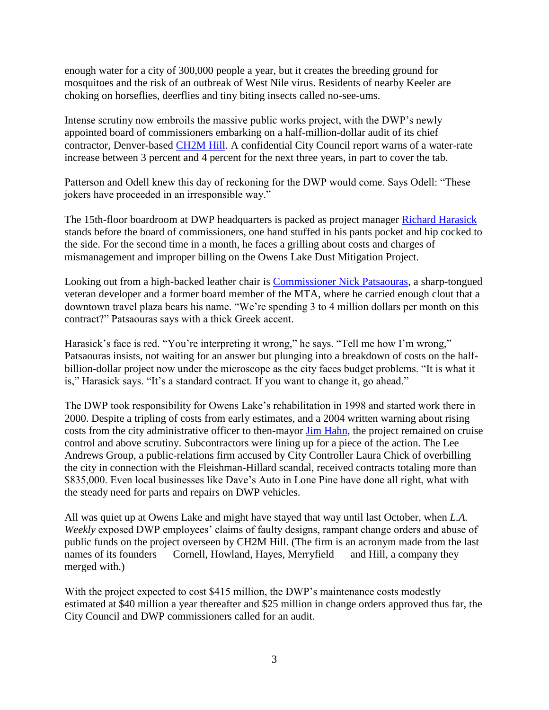enough water for a city of 300,000 people a year, but it creates the breeding ground for mosquitoes and the risk of an outbreak of West Nile virus. Residents of nearby Keeler are choking on horseflies, deerflies and tiny biting insects called no-see-ums.

Intense scrutiny now embroils the massive public works project, with the DWP's newly appointed board of commissioners embarking on a half-million-dollar audit of its chief contractor, Denver-based [CH2M Hill.](http://www.laweekly.com/related/to/CH2M+HILL+Companies+Ltd./) A confidential City Council report warns of a water-rate increase between 3 percent and 4 percent for the next three years, in part to cover the tab.

Patterson and Odell knew this day of reckoning for the DWP would come. Says Odell: "These jokers have proceeded in an irresponsible way."

The 15th-floor boardroom at DWP headquarters is packed as project manager [Richard Harasick](http://www.laweekly.com/related/to/Richard+Harasick/) stands before the board of commissioners, one hand stuffed in his pants pocket and hip cocked to the side. For the second time in a month, he faces a grilling about costs and charges of mismanagement and improper billing on the Owens Lake Dust Mitigation Project.

Looking out from a high-backed leather chair is [Commissioner Nick Patsaouras,](http://www.laweekly.com/related/to/Nick+Patsaouras/) a sharp-tongued veteran developer and a former board member of the MTA, where he carried enough clout that a downtown travel plaza bears his name. "We're spending 3 to 4 million dollars per month on this contract?" Patsaouras says with a thick Greek accent.

Harasick's face is red. "You're interpreting it wrong," he says. "Tell me how I'm wrong," Patsaouras insists, not waiting for an answer but plunging into a breakdown of costs on the halfbillion-dollar project now under the microscope as the city faces budget problems. "It is what it is," Harasick says. "It's a standard contract. If you want to change it, go ahead."

The DWP took responsibility for Owens Lake's rehabilitation in 1998 and started work there in 2000. Despite a tripling of costs from early estimates, and a 2004 written warning about rising costs from the city administrative officer to then-mayor [Jim Hahn,](http://www.laweekly.com/related/to/Jim+Hahn/) the project remained on cruise control and above scrutiny. Subcontractors were lining up for a piece of the action. The Lee Andrews Group, a public-relations firm accused by City Controller Laura Chick of overbilling the city in connection with the Fleishman-Hillard scandal, received contracts totaling more than \$835,000. Even local businesses like Dave's Auto in Lone Pine have done all right, what with the steady need for parts and repairs on DWP vehicles.

All was quiet up at Owens Lake and might have stayed that way until last October, when *L.A. Weekly* exposed DWP employees' claims of faulty designs, rampant change orders and abuse of public funds on the project overseen by CH2M Hill. (The firm is an acronym made from the last names of its founders — Cornell, Howland, Hayes, Merryfield — and Hill, a company they merged with.)

With the project expected to cost \$415 million, the DWP's maintenance costs modestly estimated at \$40 million a year thereafter and \$25 million in change orders approved thus far, the City Council and DWP commissioners called for an audit.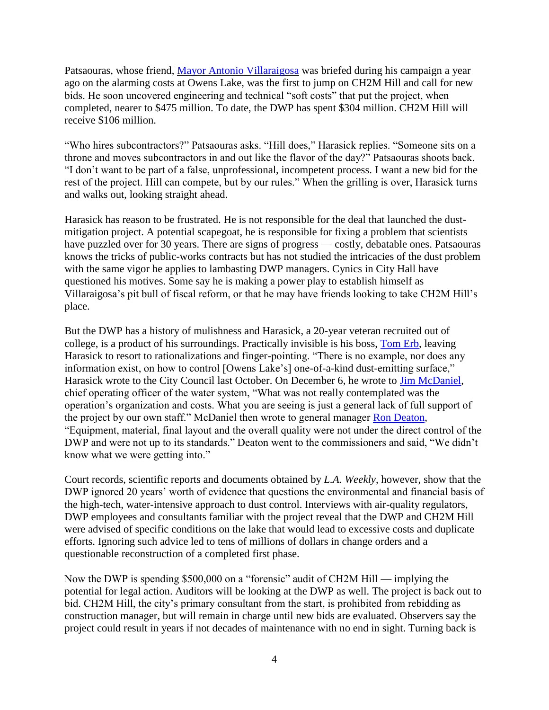Patsaouras, whose friend, [Mayor Antonio Villaraigosa](http://www.laweekly.com/related/to/Antonio+Villaraigosa/) was briefed during his campaign a year ago on the alarming costs at Owens Lake, was the first to jump on CH2M Hill and call for new bids. He soon uncovered engineering and technical "soft costs" that put the project, when completed, nearer to \$475 million. To date, the DWP has spent \$304 million. CH2M Hill will receive \$106 million.

"Who hires subcontractors?" Patsaouras asks. "Hill does," Harasick replies. "Someone sits on a throne and moves subcontractors in and out like the flavor of the day?" Patsaouras shoots back. "I don't want to be part of a false, unprofessional, incompetent process. I want a new bid for the rest of the project. Hill can compete, but by our rules." When the grilling is over, Harasick turns and walks out, looking straight ahead.

Harasick has reason to be frustrated. He is not responsible for the deal that launched the dustmitigation project. A potential scapegoat, he is responsible for fixing a problem that scientists have puzzled over for 30 years. There are signs of progress — costly, debatable ones. Patsaouras knows the tricks of public-works contracts but has not studied the intricacies of the dust problem with the same vigor he applies to lambasting DWP managers. Cynics in City Hall have questioned his motives. Some say he is making a power play to establish himself as Villaraigosa's pit bull of fiscal reform, or that he may have friends looking to take CH2M Hill's place.

But the DWP has a history of mulishness and Harasick, a 20-year veteran recruited out of college, is a product of his surroundings. Practically invisible is his boss, [Tom Erb,](http://www.laweekly.com/related/to/Tom+Erb/) leaving Harasick to resort to rationalizations and finger-pointing. "There is no example, nor does any information exist, on how to control [Owens Lake's] one-of-a-kind dust-emitting surface," Harasick wrote to the City Council last October. On December 6, he wrote to [Jim McDaniel,](http://www.laweekly.com/related/to/Jim+McDaniel/) chief operating officer of the water system, "What was not really contemplated was the operation's organization and costs. What you are seeing is just a general lack of full support of the project by our own staff." McDaniel then wrote to general manager [Ron Deaton,](http://www.laweekly.com/related/to/Ron+Deaton/) "Equipment, material, final layout and the overall quality were not under the direct control of the DWP and were not up to its standards." Deaton went to the commissioners and said, "We didn't know what we were getting into."

Court records, scientific reports and documents obtained by *L.A. Weekly*, however, show that the DWP ignored 20 years' worth of evidence that questions the environmental and financial basis of the high-tech, water-intensive approach to dust control. Interviews with air-quality regulators, DWP employees and consultants familiar with the project reveal that the DWP and CH2M Hill were advised of specific conditions on the lake that would lead to excessive costs and duplicate efforts. Ignoring such advice led to tens of millions of dollars in change orders and a questionable reconstruction of a completed first phase.

Now the DWP is spending \$500,000 on a "forensic" audit of CH2M Hill — implying the potential for legal action. Auditors will be looking at the DWP as well. The project is back out to bid. CH2M Hill, the city's primary consultant from the start, is prohibited from rebidding as construction manager, but will remain in charge until new bids are evaluated. Observers say the project could result in years if not decades of maintenance with no end in sight. Turning back is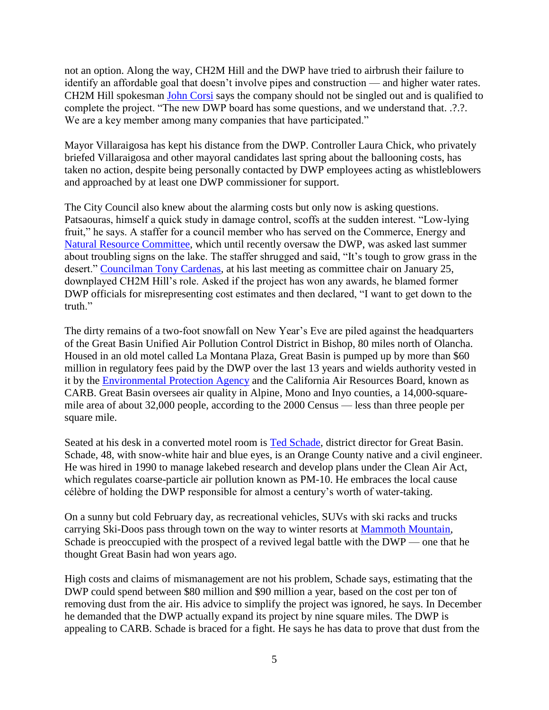not an option. Along the way, CH2M Hill and the DWP have tried to airbrush their failure to identify an affordable goal that doesn't involve pipes and construction — and higher water rates. CH2M Hill spokesman [John Corsi](http://www.laweekly.com/related/to/John+Corsi/) says the company should not be singled out and is qualified to complete the project. "The new DWP board has some questions, and we understand that. .?.?. We are a key member among many companies that have participated."

Mayor Villaraigosa has kept his distance from the DWP. Controller Laura Chick, who privately briefed Villaraigosa and other mayoral candidates last spring about the ballooning costs, has taken no action, despite being personally contacted by DWP employees acting as whistleblowers and approached by at least one DWP commissioner for support.

The City Council also knew about the alarming costs but only now is asking questions. Patsaouras, himself a quick study in damage control, scoffs at the sudden interest. "Low-lying fruit," he says. A staffer for a council member who has served on the Commerce, Energy and [Natural Resource Committee,](http://www.laweekly.com/related/to/Natural+Resource+Committee/) which until recently oversaw the DWP, was asked last summer about troubling signs on the lake. The staffer shrugged and said, "It's tough to grow grass in the desert." [Councilman Tony Cardenas,](http://www.laweekly.com/related/to/Tony+Cardenas/) at his last meeting as committee chair on January 25, downplayed CH2M Hill's role. Asked if the project has won any awards, he blamed former DWP officials for misrepresenting cost estimates and then declared, "I want to get down to the truth."

The dirty remains of a two-foot snowfall on New Year's Eve are piled against the headquarters of the Great Basin Unified Air Pollution Control District in Bishop, 80 miles north of Olancha. Housed in an old motel called La Montana Plaza, Great Basin is pumped up by more than \$60 million in regulatory fees paid by the DWP over the last 13 years and wields authority vested in it by the [Environmental Protection Agency](http://www.laweekly.com/related/to/U.S.+Environmental+Protection+Agency/) and the California Air Resources Board, known as CARB. Great Basin oversees air quality in Alpine, Mono and Inyo counties, a 14,000-squaremile area of about 32,000 people, according to the 2000 Census — less than three people per square mile.

Seated at his desk in a converted motel room is [Ted Schade,](http://www.laweekly.com/related/to/Ted+Schade/) district director for Great Basin. Schade, 48, with snow-white hair and blue eyes, is an Orange County native and a civil engineer. He was hired in 1990 to manage lakebed research and develop plans under the Clean Air Act, which regulates coarse-particle air pollution known as PM-10. He embraces the local cause célèbre of holding the DWP responsible for almost a century's worth of water-taking.

On a sunny but cold February day, as recreational vehicles, SUVs with ski racks and trucks carrying Ski-Doos pass through town on the way to winter resorts at [Mammoth Mountain,](http://www.laweekly.com/related/to/Mammoth+Mountain/) Schade is preoccupied with the prospect of a revived legal battle with the DWP — one that he thought Great Basin had won years ago.

High costs and claims of mismanagement are not his problem, Schade says, estimating that the DWP could spend between \$80 million and \$90 million a year, based on the cost per ton of removing dust from the air. His advice to simplify the project was ignored, he says. In December he demanded that the DWP actually expand its project by nine square miles. The DWP is appealing to CARB. Schade is braced for a fight. He says he has data to prove that dust from the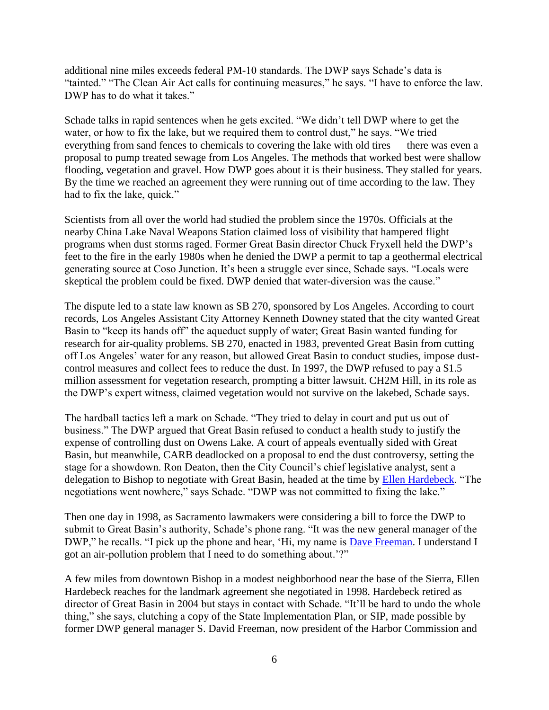additional nine miles exceeds federal PM-10 standards. The DWP says Schade's data is "tainted." "The Clean Air Act calls for continuing measures," he says. "I have to enforce the law. DWP has to do what it takes."

Schade talks in rapid sentences when he gets excited. "We didn't tell DWP where to get the water, or how to fix the lake, but we required them to control dust," he says. "We tried everything from sand fences to chemicals to covering the lake with old tires — there was even a proposal to pump treated sewage from Los Angeles. The methods that worked best were shallow flooding, vegetation and gravel. How DWP goes about it is their business. They stalled for years. By the time we reached an agreement they were running out of time according to the law. They had to fix the lake, quick."

Scientists from all over the world had studied the problem since the 1970s. Officials at the nearby China Lake Naval Weapons Station claimed loss of visibility that hampered flight programs when dust storms raged. Former Great Basin director Chuck Fryxell held the DWP's feet to the fire in the early 1980s when he denied the DWP a permit to tap a geothermal electrical generating source at Coso Junction. It's been a struggle ever since, Schade says. "Locals were skeptical the problem could be fixed. DWP denied that water-diversion was the cause."

The dispute led to a state law known as SB 270, sponsored by Los Angeles. According to court records, Los Angeles Assistant City Attorney Kenneth Downey stated that the city wanted Great Basin to "keep its hands off" the aqueduct supply of water; Great Basin wanted funding for research for air-quality problems. SB 270, enacted in 1983, prevented Great Basin from cutting off Los Angeles' water for any reason, but allowed Great Basin to conduct studies, impose dustcontrol measures and collect fees to reduce the dust. In 1997, the DWP refused to pay a \$1.5 million assessment for vegetation research, prompting a bitter lawsuit. CH2M Hill, in its role as the DWP's expert witness, claimed vegetation would not survive on the lakebed, Schade says.

The hardball tactics left a mark on Schade. "They tried to delay in court and put us out of business." The DWP argued that Great Basin refused to conduct a health study to justify the expense of controlling dust on Owens Lake. A court of appeals eventually sided with Great Basin, but meanwhile, CARB deadlocked on a proposal to end the dust controversy, setting the stage for a showdown. Ron Deaton, then the City Council's chief legislative analyst, sent a delegation to Bishop to negotiate with Great Basin, headed at the time by [Ellen Hardebeck.](http://www.laweekly.com/related/to/Ellen+Hardebeck/) "The negotiations went nowhere," says Schade. "DWP was not committed to fixing the lake."

Then one day in 1998, as Sacramento lawmakers were considering a bill to force the DWP to submit to Great Basin's authority, Schade's phone rang. "It was the new general manager of the DWP," he recalls. "I pick up the phone and hear, 'Hi, my name is [Dave Freeman.](http://www.laweekly.com/related/to/Dave+Freeman/) I understand I got an air-pollution problem that I need to do something about.'?"

A few miles from downtown Bishop in a modest neighborhood near the base of the Sierra, Ellen Hardebeck reaches for the landmark agreement she negotiated in 1998. Hardebeck retired as director of Great Basin in 2004 but stays in contact with Schade. "It'll be hard to undo the whole thing," she says, clutching a copy of the State Implementation Plan, or SIP, made possible by former DWP general manager S. David Freeman, now president of the Harbor Commission and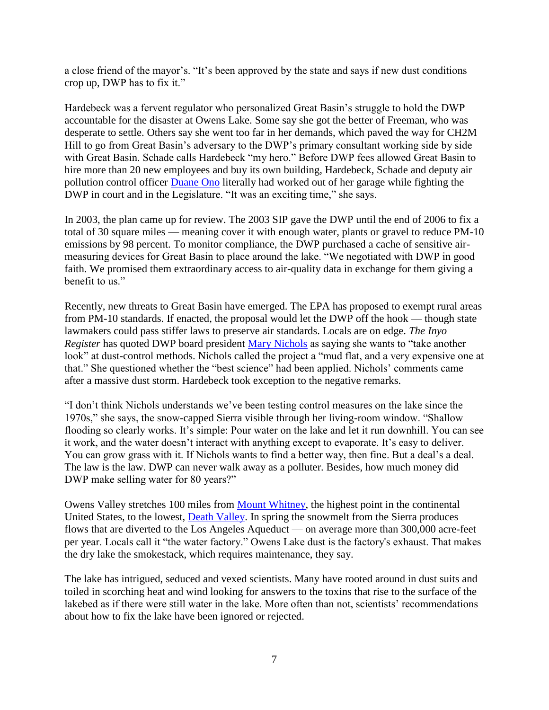a close friend of the mayor's. "It's been approved by the state and says if new dust conditions crop up, DWP has to fix it."

Hardebeck was a fervent regulator who personalized Great Basin's struggle to hold the DWP accountable for the disaster at Owens Lake. Some say she got the better of Freeman, who was desperate to settle. Others say she went too far in her demands, which paved the way for CH2M Hill to go from Great Basin's adversary to the DWP's primary consultant working side by side with Great Basin. Schade calls Hardebeck "my hero." Before DWP fees allowed Great Basin to hire more than 20 new employees and buy its own building, Hardebeck, Schade and deputy air pollution control officer [Duane Ono](http://www.laweekly.com/related/to/Duane+Ono/) literally had worked out of her garage while fighting the DWP in court and in the Legislature. "It was an exciting time," she says.

In 2003, the plan came up for review. The 2003 SIP gave the DWP until the end of 2006 to fix a total of 30 square miles — meaning cover it with enough water, plants or gravel to reduce PM-10 emissions by 98 percent. To monitor compliance, the DWP purchased a cache of sensitive airmeasuring devices for Great Basin to place around the lake. "We negotiated with DWP in good faith. We promised them extraordinary access to air-quality data in exchange for them giving a benefit to us."

Recently, new threats to Great Basin have emerged. The EPA has proposed to exempt rural areas from PM-10 standards. If enacted, the proposal would let the DWP off the hook — though state lawmakers could pass stiffer laws to preserve air standards. Locals are on edge. *The Inyo Register* has quoted DWP board president [Mary Nichols](http://www.laweekly.com/related/to/Mary+Nichols/) as saying she wants to "take another look" at dust-control methods. Nichols called the project a "mud flat, and a very expensive one at that." She questioned whether the "best science" had been applied. Nichols' comments came after a massive dust storm. Hardebeck took exception to the negative remarks.

"I don't think Nichols understands we've been testing control measures on the lake since the 1970s," she says, the snow-capped Sierra visible through her living-room window. "Shallow flooding so clearly works. It's simple: Pour water on the lake and let it run downhill. You can see it work, and the water doesn't interact with anything except to evaporate. It's easy to deliver. You can grow grass with it. If Nichols wants to find a better way, then fine. But a deal's a deal. The law is the law. DWP can never walk away as a polluter. Besides, how much money did DWP make selling water for 80 years?"

Owens Valley stretches 100 miles from **Mount Whitney**, the highest point in the continental United States, to the lowest, [Death Valley.](http://www.laweekly.com/related/to/Death+Valley/) In spring the snowmelt from the Sierra produces flows that are diverted to the Los Angeles Aqueduct — on average more than 300,000 acre-feet per year. Locals call it "the water factory." Owens Lake dust is the factory's exhaust. That makes the dry lake the smokestack, which requires maintenance, they say.

The lake has intrigued, seduced and vexed scientists. Many have rooted around in dust suits and toiled in scorching heat and wind looking for answers to the toxins that rise to the surface of the lakebed as if there were still water in the lake. More often than not, scientists' recommendations about how to fix the lake have been ignored or rejected.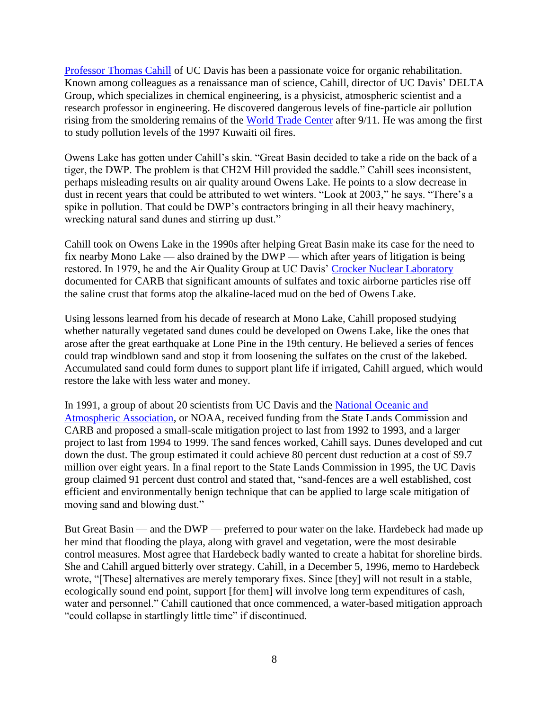[Professor Thomas Cahill](http://www.laweekly.com/related/to/Thomas+Cahill/) of UC Davis has been a passionate voice for organic rehabilitation. Known among colleagues as a renaissance man of science, Cahill, director of UC Davis' DELTA Group, which specializes in chemical engineering, is a physicist, atmospheric scientist and a research professor in engineering. He discovered dangerous levels of fine-particle air pollution rising from the smoldering remains of the [World Trade Center](http://www.laweekly.com/related/to/World+Trade+Center/) after 9/11. He was among the first to study pollution levels of the 1997 Kuwaiti oil fires.

Owens Lake has gotten under Cahill's skin. "Great Basin decided to take a ride on the back of a tiger, the DWP. The problem is that CH2M Hill provided the saddle." Cahill sees inconsistent, perhaps misleading results on air quality around Owens Lake. He points to a slow decrease in dust in recent years that could be attributed to wet winters. "Look at 2003," he says. "There's a spike in pollution. That could be DWP's contractors bringing in all their heavy machinery, wrecking natural sand dunes and stirring up dust."

Cahill took on Owens Lake in the 1990s after helping Great Basin make its case for the need to fix nearby Mono Lake — also drained by the DWP — which after years of litigation is being restored. In 1979, he and the Air Quality Group at UC Davis' [Crocker Nuclear Laboratory](http://www.laweekly.com/related/to/Crocker+Nuclear+Laboratory/) documented for CARB that significant amounts of sulfates and toxic airborne particles rise off the saline crust that forms atop the alkaline-laced mud on the bed of Owens Lake.

Using lessons learned from his decade of research at Mono Lake, Cahill proposed studying whether naturally vegetated sand dunes could be developed on Owens Lake, like the ones that arose after the great earthquake at Lone Pine in the 19th century. He believed a series of fences could trap windblown sand and stop it from loosening the sulfates on the crust of the lakebed. Accumulated sand could form dunes to support plant life if irrigated, Cahill argued, which would restore the lake with less water and money.

In 1991, a group of about 20 scientists from UC Davis and the [National Oceanic and](http://www.laweekly.com/related/to/U.S.+National+Oceanic+and+Atmospheric+Administration/)  [Atmospheric Association,](http://www.laweekly.com/related/to/U.S.+National+Oceanic+and+Atmospheric+Administration/) or NOAA, received funding from the State Lands Commission and CARB and proposed a small-scale mitigation project to last from 1992 to 1993, and a larger project to last from 1994 to 1999. The sand fences worked, Cahill says. Dunes developed and cut down the dust. The group estimated it could achieve 80 percent dust reduction at a cost of \$9.7 million over eight years. In a final report to the State Lands Commission in 1995, the UC Davis group claimed 91 percent dust control and stated that, "sand-fences are a well established, cost efficient and environmentally benign technique that can be applied to large scale mitigation of moving sand and blowing dust."

But Great Basin — and the DWP — preferred to pour water on the lake. Hardebeck had made up her mind that flooding the playa, along with gravel and vegetation, were the most desirable control measures. Most agree that Hardebeck badly wanted to create a habitat for shoreline birds. She and Cahill argued bitterly over strategy. Cahill, in a December 5, 1996, memo to Hardebeck wrote, "[These] alternatives are merely temporary fixes. Since [they] will not result in a stable, ecologically sound end point, support [for them] will involve long term expenditures of cash, water and personnel." Cahill cautioned that once commenced, a water-based mitigation approach "could collapse in startlingly little time" if discontinued.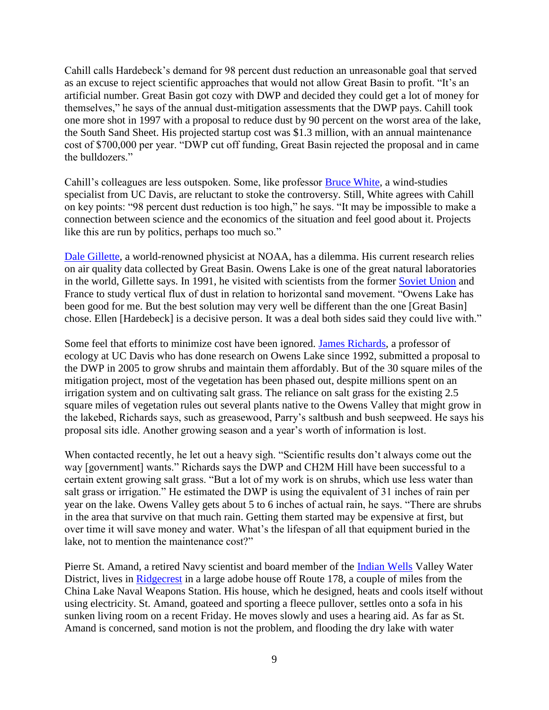Cahill calls Hardebeck's demand for 98 percent dust reduction an unreasonable goal that served as an excuse to reject scientific approaches that would not allow Great Basin to profit. "It's an artificial number. Great Basin got cozy with DWP and decided they could get a lot of money for themselves," he says of the annual dust-mitigation assessments that the DWP pays. Cahill took one more shot in 1997 with a proposal to reduce dust by 90 percent on the worst area of the lake, the South Sand Sheet. His projected startup cost was \$1.3 million, with an annual maintenance cost of \$700,000 per year. "DWP cut off funding, Great Basin rejected the proposal and in came the bulldozers."

Cahill's colleagues are less outspoken. Some, like professor [Bruce White,](http://www.laweekly.com/related/to/Bruce+White/) a wind-studies specialist from UC Davis, are reluctant to stoke the controversy. Still, White agrees with Cahill on key points: "98 percent dust reduction is too high," he says. "It may be impossible to make a connection between science and the economics of the situation and feel good about it. Projects like this are run by politics, perhaps too much so."

[Dale Gillette,](http://www.laweekly.com/related/to/Dale+Gillette/) a world-renowned physicist at NOAA, has a dilemma. His current research relies on air quality data collected by Great Basin. Owens Lake is one of the great natural laboratories in the world, Gillette says. In 1991, he visited with scientists from the former [Soviet Union](http://www.laweekly.com/related/to/U.S.S.R./) and France to study vertical flux of dust in relation to horizontal sand movement. "Owens Lake has been good for me. But the best solution may very well be different than the one [Great Basin] chose. Ellen [Hardebeck] is a decisive person. It was a deal both sides said they could live with."

Some feel that efforts to minimize cost have been ignored. [James Richards,](http://www.laweekly.com/related/to/James+Richards/) a professor of ecology at UC Davis who has done research on Owens Lake since 1992, submitted a proposal to the DWP in 2005 to grow shrubs and maintain them affordably. But of the 30 square miles of the mitigation project, most of the vegetation has been phased out, despite millions spent on an irrigation system and on cultivating salt grass. The reliance on salt grass for the existing 2.5 square miles of vegetation rules out several plants native to the Owens Valley that might grow in the lakebed, Richards says, such as greasewood, Parry's saltbush and bush seepweed. He says his proposal sits idle. Another growing season and a year's worth of information is lost.

When contacted recently, he let out a heavy sigh. "Scientific results don't always come out the way [government] wants." Richards says the DWP and CH2M Hill have been successful to a certain extent growing salt grass. "But a lot of my work is on shrubs, which use less water than salt grass or irrigation." He estimated the DWP is using the equivalent of 31 inches of rain per year on the lake. Owens Valley gets about 5 to 6 inches of actual rain, he says. "There are shrubs in the area that survive on that much rain. Getting them started may be expensive at first, but over time it will save money and water. What's the lifespan of all that equipment buried in the lake, not to mention the maintenance cost?"

Pierre St. Amand, a retired Navy scientist and board member of the *[Indian Wells](http://www.laweekly.com/related/to/Indian+Wells/)* Valley Water District, lives in [Ridgecrest](http://www.laweekly.com/related/to/Ridgecrest/) in a large adobe house off Route 178, a couple of miles from the China Lake Naval Weapons Station. His house, which he designed, heats and cools itself without using electricity. St. Amand, goateed and sporting a fleece pullover, settles onto a sofa in his sunken living room on a recent Friday. He moves slowly and uses a hearing aid. As far as St. Amand is concerned, sand motion is not the problem, and flooding the dry lake with water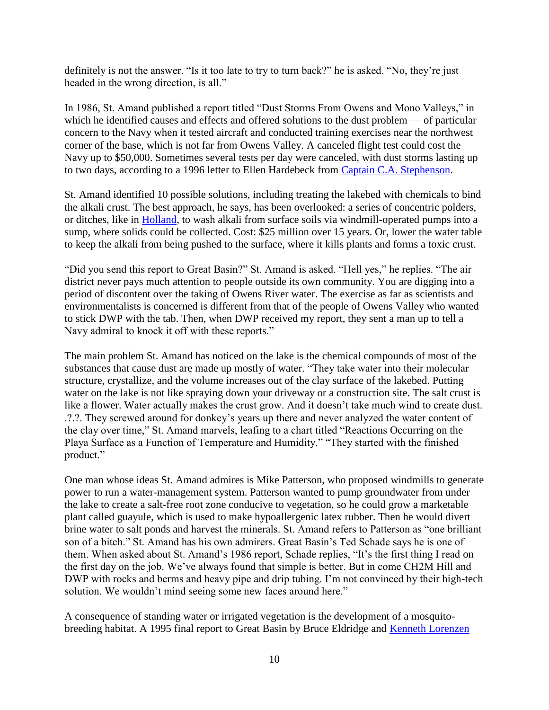definitely is not the answer. "Is it too late to try to turn back?" he is asked. "No, they're just headed in the wrong direction, is all."

In 1986, St. Amand published a report titled "Dust Storms From Owens and Mono Valleys," in which he identified causes and effects and offered solutions to the dust problem — of particular concern to the Navy when it tested aircraft and conducted training exercises near the northwest corner of the base, which is not far from Owens Valley. A canceled flight test could cost the Navy up to \$50,000. Sometimes several tests per day were canceled, with dust storms lasting up to two days, according to a 1996 letter to Ellen Hardebeck from [Captain C.A. Stephenson.](http://www.laweekly.com/related/to/C.A.+Stephenson/)

St. Amand identified 10 possible solutions, including treating the lakebed with chemicals to bind the alkali crust. The best approach, he says, has been overlooked: a series of concentric polders, or ditches, like in [Holland,](http://www.laweekly.com/related/to/Netherlands/) to wash alkali from surface soils via windmill-operated pumps into a sump, where solids could be collected. Cost: \$25 million over 15 years. Or, lower the water table to keep the alkali from being pushed to the surface, where it kills plants and forms a toxic crust.

"Did you send this report to Great Basin?" St. Amand is asked. "Hell yes," he replies. "The air district never pays much attention to people outside its own community. You are digging into a period of discontent over the taking of Owens River water. The exercise as far as scientists and environmentalists is concerned is different from that of the people of Owens Valley who wanted to stick DWP with the tab. Then, when DWP received my report, they sent a man up to tell a Navy admiral to knock it off with these reports."

The main problem St. Amand has noticed on the lake is the chemical compounds of most of the substances that cause dust are made up mostly of water. "They take water into their molecular structure, crystallize, and the volume increases out of the clay surface of the lakebed. Putting water on the lake is not like spraying down your driveway or a construction site. The salt crust is like a flower. Water actually makes the crust grow. And it doesn't take much wind to create dust. .?.?. They screwed around for donkey's years up there and never analyzed the water content of the clay over time," St. Amand marvels, leafing to a chart titled "Reactions Occurring on the Playa Surface as a Function of Temperature and Humidity." "They started with the finished product."

One man whose ideas St. Amand admires is Mike Patterson, who proposed windmills to generate power to run a water-management system. Patterson wanted to pump groundwater from under the lake to create a salt-free root zone conducive to vegetation, so he could grow a marketable plant called guayule, which is used to make hypoallergenic latex rubber. Then he would divert brine water to salt ponds and harvest the minerals. St. Amand refers to Patterson as "one brilliant son of a bitch." St. Amand has his own admirers. Great Basin's Ted Schade says he is one of them. When asked about St. Amand's 1986 report, Schade replies, "It's the first thing I read on the first day on the job. We've always found that simple is better. But in come CH2M Hill and DWP with rocks and berms and heavy pipe and drip tubing. I'm not convinced by their high-tech solution. We wouldn't mind seeing some new faces around here."

A consequence of standing water or irrigated vegetation is the development of a mosquitobreeding habitat. A 1995 final report to Great Basin by Bruce Eldridge and [Kenneth Lorenzen](http://www.laweekly.com/related/to/Kenneth+Lorenzen/)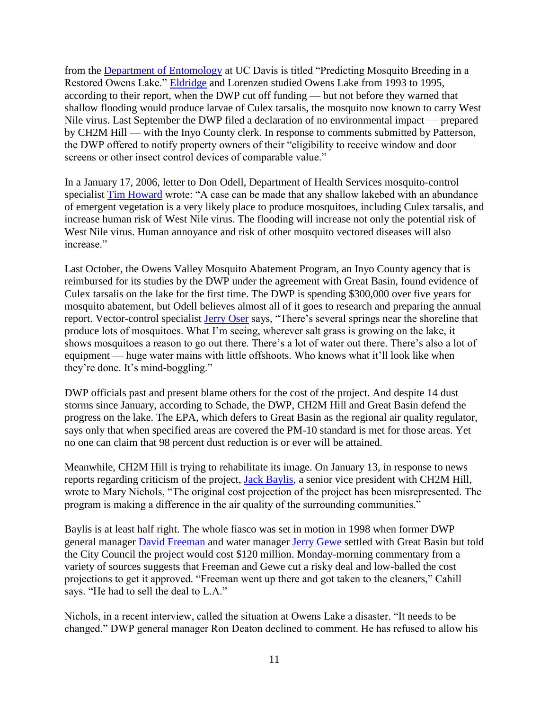from the [Department of Entomology](http://www.laweekly.com/related/to/Department+of+Entomology/) at UC Davis is titled "Predicting Mosquito Breeding in a Restored Owens Lake." [Eldridge](http://www.laweekly.com/related/to/Great+Basin+Bruce+Eldridge/) and Lorenzen studied Owens Lake from 1993 to 1995, according to their report, when the DWP cut off funding — but not before they warned that shallow flooding would produce larvae of Culex tarsalis, the mosquito now known to carry West Nile virus. Last September the DWP filed a declaration of no environmental impact — prepared by CH2M Hill — with the Inyo County clerk. In response to comments submitted by Patterson, the DWP offered to notify property owners of their "eligibility to receive window and door screens or other insect control devices of comparable value."

In a January 17, 2006, letter to Don Odell, Department of Health Services mosquito-control specialist [Tim Howard](http://www.laweekly.com/related/to/Tim+Howard/) wrote: "A case can be made that any shallow lakebed with an abundance of emergent vegetation is a very likely place to produce mosquitoes, including Culex tarsalis, and increase human risk of West Nile virus. The flooding will increase not only the potential risk of West Nile virus. Human annoyance and risk of other mosquito vectored diseases will also increase"

Last October, the Owens Valley Mosquito Abatement Program, an Inyo County agency that is reimbursed for its studies by the DWP under the agreement with Great Basin, found evidence of Culex tarsalis on the lake for the first time. The DWP is spending \$300,000 over five years for mosquito abatement, but Odell believes almost all of it goes to research and preparing the annual report. Vector-control specialist [Jerry Oser](http://www.laweekly.com/related/to/Jerry+Oser/) says, "There's several springs near the shoreline that produce lots of mosquitoes. What I'm seeing, wherever salt grass is growing on the lake, it shows mosquitoes a reason to go out there. There's a lot of water out there. There's also a lot of equipment — huge water mains with little offshoots. Who knows what it'll look like when they're done. It's mind-boggling."

DWP officials past and present blame others for the cost of the project. And despite 14 dust storms since January, according to Schade, the DWP, CH2M Hill and Great Basin defend the progress on the lake. The EPA, which defers to Great Basin as the regional air quality regulator, says only that when specified areas are covered the PM-10 standard is met for those areas. Yet no one can claim that 98 percent dust reduction is or ever will be attained.

Meanwhile, CH2M Hill is trying to rehabilitate its image. On January 13, in response to news reports regarding criticism of the project, [Jack Baylis,](http://www.laweekly.com/related/to/Jack+Baylis/) a senior vice president with CH2M Hill, wrote to Mary Nichols, "The original cost projection of the project has been misrepresented. The program is making a difference in the air quality of the surrounding communities."

Baylis is at least half right. The whole fiasco was set in motion in 1998 when former DWP general manager [David Freeman](http://www.laweekly.com/related/to/David+Freeman/) and water manager [Jerry Gewe](http://www.laweekly.com/related/to/Jerry+Gewe/) settled with Great Basin but told the City Council the project would cost \$120 million. Monday-morning commentary from a variety of sources suggests that Freeman and Gewe cut a risky deal and low-balled the cost projections to get it approved. "Freeman went up there and got taken to the cleaners," Cahill says. "He had to sell the deal to L.A."

Nichols, in a recent interview, called the situation at Owens Lake a disaster. "It needs to be changed." DWP general manager Ron Deaton declined to comment. He has refused to allow his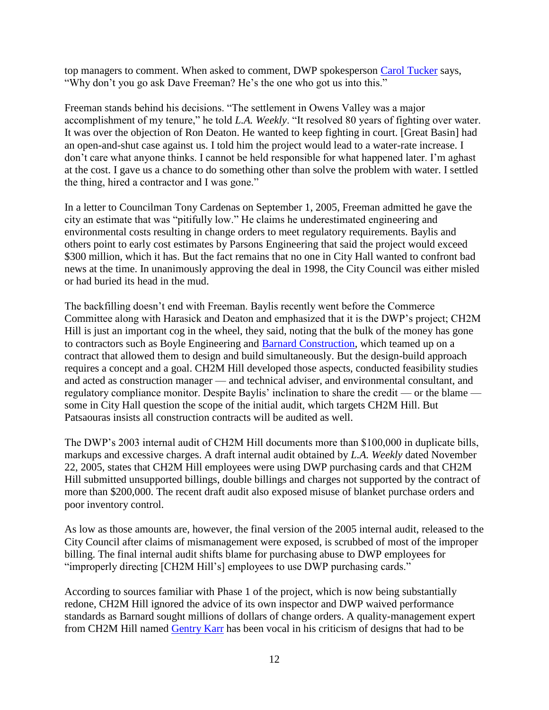top managers to comment. When asked to comment, DWP spokesperson [Carol Tucker](http://www.laweekly.com/related/to/Carol+Tucker/) says, "Why don't you go ask Dave Freeman? He's the one who got us into this."

Freeman stands behind his decisions. "The settlement in Owens Valley was a major accomplishment of my tenure," he told *L.A. Weekly*. "It resolved 80 years of fighting over water. It was over the objection of Ron Deaton. He wanted to keep fighting in court. [Great Basin] had an open-and-shut case against us. I told him the project would lead to a water-rate increase. I don't care what anyone thinks. I cannot be held responsible for what happened later. I'm aghast at the cost. I gave us a chance to do something other than solve the problem with water. I settled the thing, hired a contractor and I was gone."

In a letter to Councilman Tony Cardenas on September 1, 2005, Freeman admitted he gave the city an estimate that was "pitifully low." He claims he underestimated engineering and environmental costs resulting in change orders to meet regulatory requirements. Baylis and others point to early cost estimates by Parsons Engineering that said the project would exceed \$300 million, which it has. But the fact remains that no one in City Hall wanted to confront bad news at the time. In unanimously approving the deal in 1998, the City Council was either misled or had buried its head in the mud.

The backfilling doesn't end with Freeman. Baylis recently went before the Commerce Committee along with Harasick and Deaton and emphasized that it is the DWP's project; CH2M Hill is just an important cog in the wheel, they said, noting that the bulk of the money has gone to contractors such as Boyle Engineering and [Barnard Construction,](http://www.laweekly.com/related/to/Barnard+Construction+Co.+Inc./) which teamed up on a contract that allowed them to design and build simultaneously. But the design-build approach requires a concept and a goal. CH2M Hill developed those aspects, conducted feasibility studies and acted as construction manager — and technical adviser, and environmental consultant, and regulatory compliance monitor. Despite Baylis' inclination to share the credit — or the blame some in City Hall question the scope of the initial audit, which targets CH2M Hill. But Patsaouras insists all construction contracts will be audited as well.

The DWP's 2003 internal audit of CH2M Hill documents more than \$100,000 in duplicate bills, markups and excessive charges. A draft internal audit obtained by *L.A. Weekly* dated November 22, 2005, states that CH2M Hill employees were using DWP purchasing cards and that CH2M Hill submitted unsupported billings, double billings and charges not supported by the contract of more than \$200,000. The recent draft audit also exposed misuse of blanket purchase orders and poor inventory control.

As low as those amounts are, however, the final version of the 2005 internal audit, released to the City Council after claims of mismanagement were exposed, is scrubbed of most of the improper billing. The final internal audit shifts blame for purchasing abuse to DWP employees for "improperly directing [CH2M Hill's] employees to use DWP purchasing cards."

According to sources familiar with Phase 1 of the project, which is now being substantially redone, CH2M Hill ignored the advice of its own inspector and DWP waived performance standards as Barnard sought millions of dollars of change orders. A quality-management expert from CH2M Hill named [Gentry Karr](http://www.laweekly.com/related/to/Gentry+Karr/) has been vocal in his criticism of designs that had to be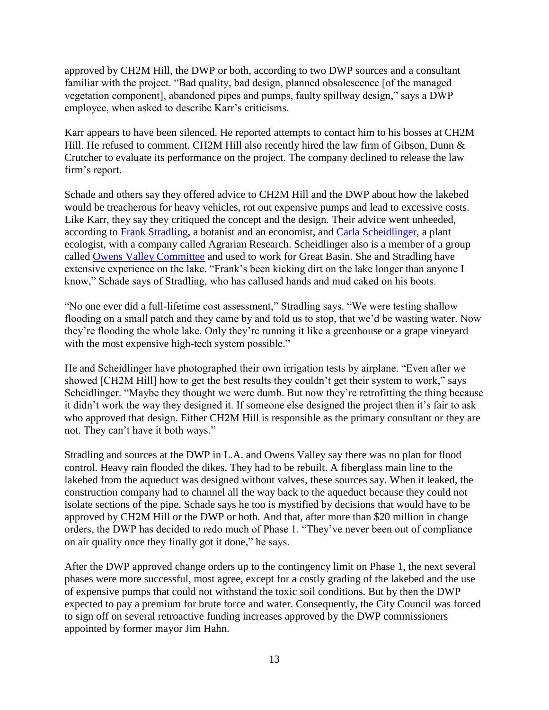approved by CH2M Hill, the DWP or both, according to two DWP sources and a consultant familiar with the project. "Bad quality, bad design, planned obsolescence [of the managed vegetation component], abandoned pipes and pumps, faulty spillway design," says a DWP employee, when asked to describe Karr's criticisms.

Karr appears to have been silenced. He reported attempts to contact him to his bosses at CH2M Hill. He refused to comment. CH2M Hill also recently hired the law firm of Gibson, Dunn & Crutcher to evaluate its performance on the project. The company declined to release the law firm's report.

Schade and others say they offered advice to CH2M Hill and the DWP about how the lakebed would be treacherous for heavy vehicles, rot out expensive pumps and lead to excessive costs. Like Karr, they say they critiqued the concept and the design. Their advice went unheeded, according to [Frank Stradling,](http://www.laweekly.com/related/to/Frank+Stradling/) a botanist and an economist, and [Carla Scheidlinger,](http://www.laweekly.com/related/to/Carla+Scheidlinger/) a plant ecologist, with a company called Agrarian Research. Scheidlinger also is a member of a group called Owens [Valley Committee](http://www.laweekly.com/related/to/Owens+Valley+Committee/) and used to work for Great Basin. She and Stradling have extensive experience on the lake. "Frank's been kicking dirt on the lake longer than anyone I know," Schade says of Stradling, who has callused hands and mud caked on his boots.

"No one ever did a full-lifetime cost assessment," Stradling says. "We were testing shallow flooding on a small patch and they came by and told us to stop, that we'd be wasting water. Now they're flooding the whole lake. Only they're running it like a greenhouse or a grape vineyard with the most expensive high-tech system possible."

He and Scheidlinger have photographed their own irrigation tests by airplane. "Even after we showed [CH2M Hill] how to get the best results they couldn't get their system to work," says Scheidlinger. "Maybe they thought we were dumb. But now they're retrofitting the thing because it didn't work the way they designed it. If someone else designed the project then it's fair to ask who approved that design. Either CH2M Hill is responsible as the primary consultant or they are not. They can't have it both ways."

Stradling and sources at the DWP in L.A. and Owens Valley say there was no plan for flood control. Heavy rain flooded the dikes. They had to be rebuilt. A fiberglass main line to the lakebed from the aqueduct was designed without valves, these sources say. When it leaked, the construction company had to channel all the way back to the aqueduct because they could not isolate sections of the pipe. Schade says he too is mystified by decisions that would have to be approved by CH2M Hill or the DWP or both. And that, after more than \$20 million in change orders, the DWP has decided to redo much of Phase 1. "They've never been out of compliance on air quality once they finally got it done," he says.

After the DWP approved change orders up to the contingency limit on Phase 1, the next several phases were more successful, most agree, except for a costly grading of the lakebed and the use of expensive pumps that could not withstand the toxic soil conditions. But by then the DWP expected to pay a premium for brute force and water. Consequently, the City Council was forced to sign off on several retroactive funding increases approved by the DWP commissioners appointed by former mayor Jim Hahn.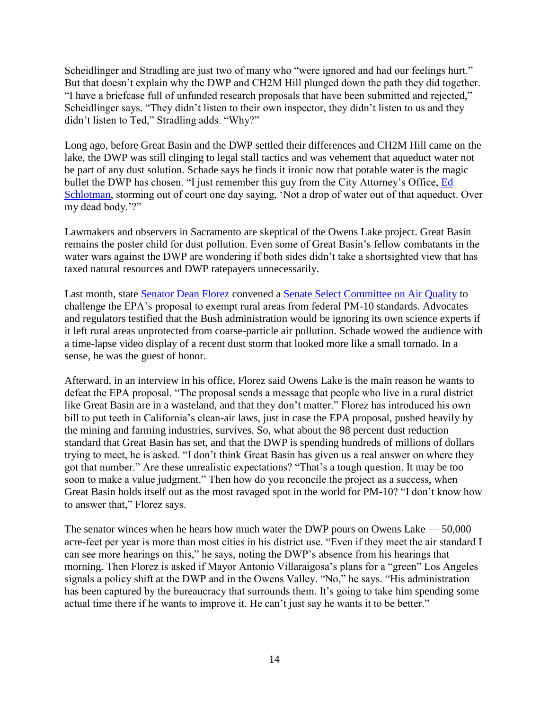Scheidlinger and Stradling are just two of many who "were ignored and had our feelings hurt." But that doesn't explain why the DWP and CH2M Hill plunged down the path they did together. "I have a briefcase full of unfunded research proposals that have been submitted and rejected," Scheidlinger says. "They didn't listen to their own inspector, they didn't listen to us and they didn't listen to Ted," Stradling adds. "Why?"

Long ago, before Great Basin and the DWP settled their differences and CH2M Hill came on the lake, the DWP was still clinging to legal stall tactics and was vehement that aqueduct water not be part of any dust solution. Schade says he finds it ironic now that potable water is the magic bullet the DWP has chosen. "I just remember this guy from the City Attorney's Office, [Ed](http://www.laweekly.com/related/to/Ed+Schlotman/)  [Schlotman,](http://www.laweekly.com/related/to/Ed+Schlotman/) storming out of court one day saying, 'Not a drop of water out of that aqueduct. Over my dead body.'?"

Lawmakers and observers in Sacramento are skeptical of the Owens Lake project. Great Basin remains the poster child for dust pollution. Even some of Great Basin's fellow combatants in the water wars against the DWP are wondering if both sides didn't take a shortsighted view that has taxed natural resources and DWP ratepayers unnecessarily.

Last month, state [Senator Dean Florez](http://www.laweekly.com/related/to/Dean+Florez/) convened a [Senate Select Committee on Air Quality](http://www.laweekly.com/related/to/Senate+Select+Committee+on+Air+Quality/) to challenge the EPA's proposal to exempt rural areas from federal PM-10 standards. Advocates and regulators testified that the Bush administration would be ignoring its own science experts if it left rural areas unprotected from coarse-particle air pollution. Schade wowed the audience with a time-lapse video display of a recent dust storm that looked more like a small tornado. In a sense, he was the guest of honor.

Afterward, in an interview in his office, Florez said Owens Lake is the main reason he wants to defeat the EPA proposal. "The proposal sends a message that people who live in a rural district like Great Basin are in a wasteland, and that they don't matter." Florez has introduced his own bill to put teeth in California's clean-air laws, just in case the EPA proposal, pushed heavily by the mining and farming industries, survives. So, what about the 98 percent dust reduction standard that Great Basin has set, and that the DWP is spending hundreds of millions of dollars trying to meet, he is asked. "I don't think Great Basin has given us a real answer on where they got that number." Are these unrealistic expectations? "That's a tough question. It may be too soon to make a value judgment." Then how do you reconcile the project as a success, when Great Basin holds itself out as the most ravaged spot in the world for PM-10? "I don't know how to answer that," Florez says.

The senator winces when he hears how much water the DWP pours on Owens Lake — 50,000 acre-feet per year is more than most cities in his district use. "Even if they meet the air standard I can see more hearings on this," he says, noting the DWP's absence from his hearings that morning. Then Florez is asked if Mayor Antonio Villaraigosa's plans for a "green" Los Angeles signals a policy shift at the DWP and in the Owens Valley. "No," he says. "His administration has been captured by the bureaucracy that surrounds them. It's going to take him spending some actual time there if he wants to improve it. He can't just say he wants it to be better."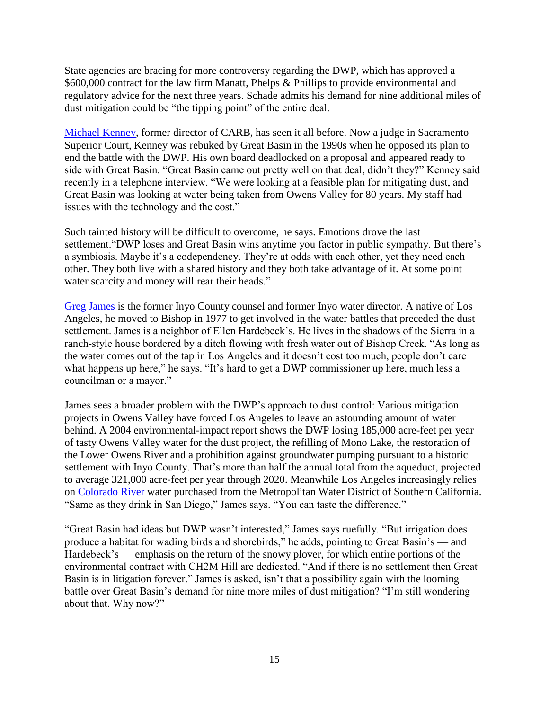State agencies are bracing for more controversy regarding the DWP, which has approved a \$600,000 contract for the law firm Manatt, Phelps & Phillips to provide environmental and regulatory advice for the next three years. Schade admits his demand for nine additional miles of dust mitigation could be "the tipping point" of the entire deal.

[Michael Kenney,](http://www.laweekly.com/related/to/Michael+Kenney/) former director of CARB, has seen it all before. Now a judge in Sacramento Superior Court, Kenney was rebuked by Great Basin in the 1990s when he opposed its plan to end the battle with the DWP. His own board deadlocked on a proposal and appeared ready to side with Great Basin. "Great Basin came out pretty well on that deal, didn't they?" Kenney said recently in a telephone interview. "We were looking at a feasible plan for mitigating dust, and Great Basin was looking at water being taken from Owens Valley for 80 years. My staff had issues with the technology and the cost."

Such tainted history will be difficult to overcome, he says. Emotions drove the last settlement."DWP loses and Great Basin wins anytime you factor in public sympathy. But there's a symbiosis. Maybe it's a codependency. They're at odds with each other, yet they need each other. They both live with a shared history and they both take advantage of it. At some point water scarcity and money will rear their heads."

[Greg James](http://www.laweekly.com/related/to/Greg+James/) is the former Inyo County counsel and former Inyo water director. A native of Los Angeles, he moved to Bishop in 1977 to get involved in the water battles that preceded the dust settlement. James is a neighbor of Ellen Hardebeck's. He lives in the shadows of the Sierra in a ranch-style house bordered by a ditch flowing with fresh water out of Bishop Creek. "As long as the water comes out of the tap in Los Angeles and it doesn't cost too much, people don't care what happens up here," he says. "It's hard to get a DWP commissioner up here, much less a councilman or a mayor."

James sees a broader problem with the DWP's approach to dust control: Various mitigation projects in Owens Valley have forced Los Angeles to leave an astounding amount of water behind. A 2004 environmental-impact report shows the DWP losing 185,000 acre-feet per year of tasty Owens Valley water for the dust project, the refilling of Mono Lake, the restoration of the Lower Owens River and a prohibition against groundwater pumping pursuant to a historic settlement with Inyo County. That's more than half the annual total from the aqueduct, projected to average 321,000 acre-feet per year through 2020. Meanwhile Los Angeles increasingly relies on [Colorado River](http://www.laweekly.com/related/to/Colorado+River/) water purchased from the Metropolitan Water District of Southern California. "Same as they drink in San Diego," James says. "You can taste the difference."

"Great Basin had ideas but DWP wasn't interested," James says ruefully. "But irrigation does produce a habitat for wading birds and shorebirds," he adds, pointing to Great Basin's — and Hardebeck's — emphasis on the return of the snowy plover, for which entire portions of the environmental contract with CH2M Hill are dedicated. "And if there is no settlement then Great Basin is in litigation forever." James is asked, isn't that a possibility again with the looming battle over Great Basin's demand for nine more miles of dust mitigation? "I'm still wondering about that. Why now?"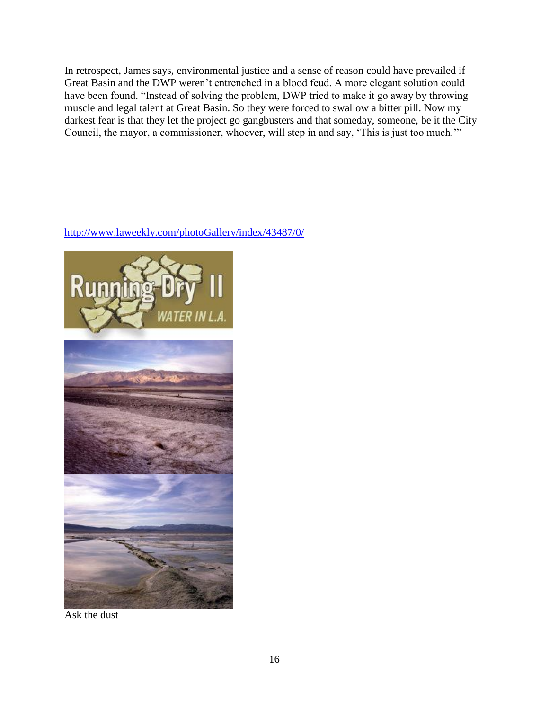In retrospect, James says, environmental justice and a sense of reason could have prevailed if Great Basin and the DWP weren't entrenched in a blood feud. A more elegant solution could have been found. "Instead of solving the problem, DWP tried to make it go away by throwing muscle and legal talent at Great Basin. So they were forced to swallow a bitter pill. Now my darkest fear is that they let the project go gangbusters and that someday, someone, be it the City Council, the mayor, a commissioner, whoever, will step in and say, 'This is just too much.'"

## <http://www.laweekly.com/photoGallery/index/43487/0/>



Ask the dust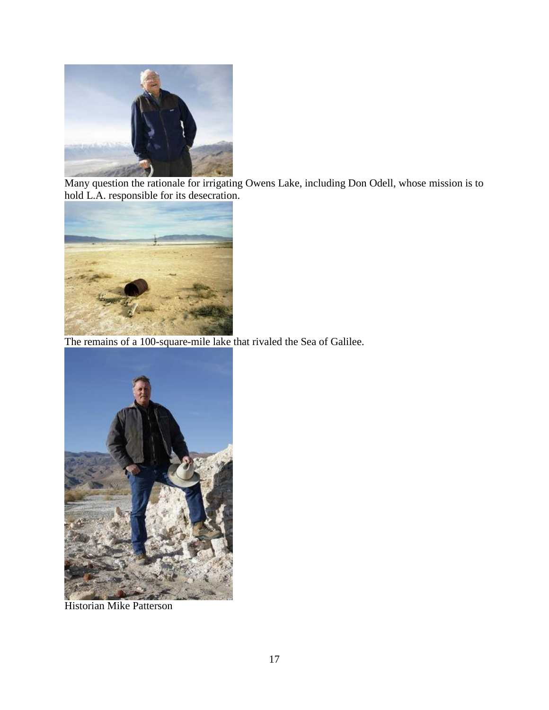

Many question the rationale for irrigating Owens Lake, including Don Odell, whose mission is to hold L.A. responsible for its desecration.



The remains of a 100-square-mile lake that rivaled the Sea of Galilee.



Historian Mike Patterson